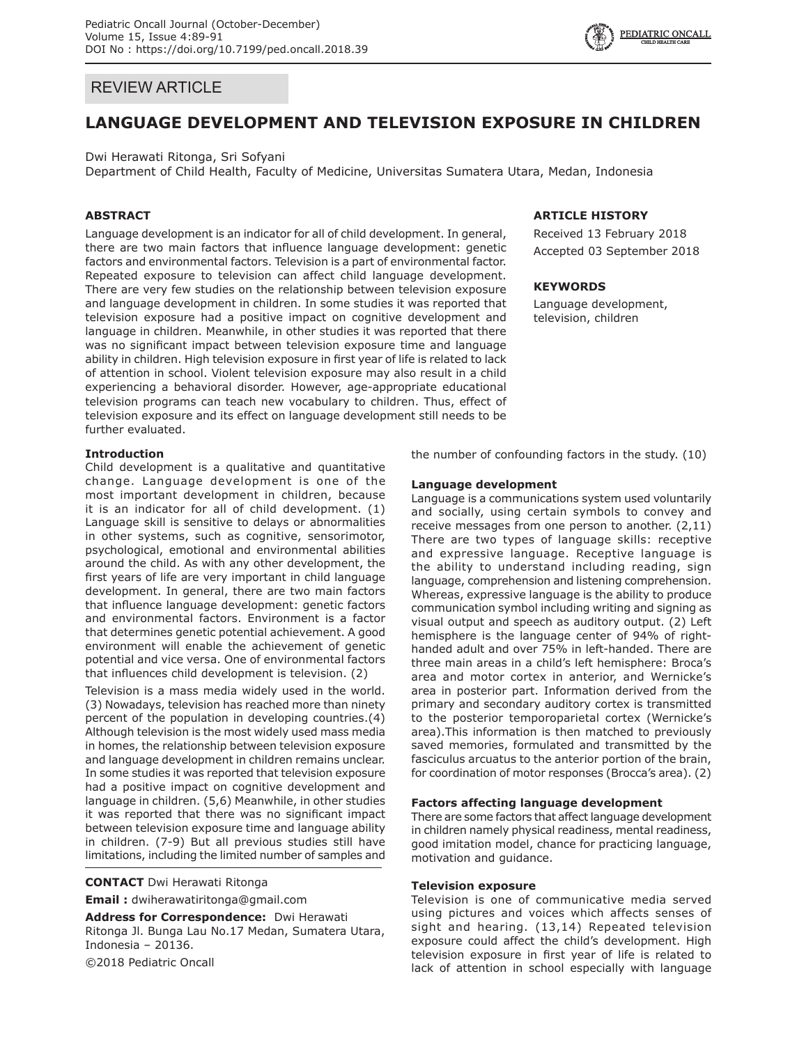

## REVIEW ARTICLE

# **LANGUAGE DEVELOPMENT AND TELEVISION EXPOSURE IN CHILDREN**

Dwi Herawati Ritonga, Sri Sofyani

Department of Child Health, Faculty of Medicine, Universitas Sumatera Utara, Medan, Indonesia

### **ABSTRACT**

Language development is an indicator for all of child development. In general, there are two main factors that influence language development: genetic factors and environmental factors. Television is a part of environmental factor. Repeated exposure to television can affect child language development. There are very few studies on the relationship between television exposure and language development in children. In some studies it was reported that television exposure had a positive impact on cognitive development and language in children. Meanwhile, in other studies it was reported that there was no significant impact between television exposure time and language ability in children. High television exposure in first year of life is related to lack of attention in school. Violent television exposure may also result in a child experiencing a behavioral disorder. However, age-appropriate educational television programs can teach new vocabulary to children. Thus, effect of television exposure and its effect on language development still needs to be further evaluated.

#### **Introduction**

Child development is a qualitative and quantitative change. Language development is one of the most important development in children, because it is an indicator for all of child development. (1) Language skill is sensitive to delays or abnormalities in other systems, such as cognitive, sensorimotor, psychological, emotional and environmental abilities around the child. As with any other development, the first years of life are very important in child language development. In general, there are two main factors that influence language development: genetic factors and environmental factors. Environment is a factor that determines genetic potential achievement. A good environment will enable the achievement of genetic potential and vice versa. One of environmental factors that influences child development is television. (2)

Television is a mass media widely used in the world. (3) Nowadays, television has reached more than ninety percent of the population in developing countries.(4) Although television is the most widely used mass media in homes, the relationship between television exposure and language development in children remains unclear. In some studies it was reported that television exposure had a positive impact on cognitive development and language in children. (5,6) Meanwhile, in other studies it was reported that there was no significant impact between television exposure time and language ability in children. (7-9) But all previous studies still have limitations, including the limited number of samples and

**CONTACT** Dwi Herawati Ritonga

**Email :** dwiherawatiritonga@gmail.com

**Address for Correspondence:** Dwi Herawati Ritonga Jl. Bunga Lau No.17 Medan, Sumatera Utara, Indonesia – 20136.

©2018 Pediatric Oncall

### **ARTICLE HISTORY**

Received 13 February 2018 Accepted 03 September 2018

#### **KEYWORDS**

Language development, television, children

the number of confounding factors in the study. (10)

#### **Language development**

Language is a communications system used voluntarily and socially, using certain symbols to convey and receive messages from one person to another. (2,11) There are two types of language skills: receptive and expressive language. Receptive language is the ability to understand including reading, sign language, comprehension and listening comprehension. Whereas, expressive language is the ability to produce communication symbol including writing and signing as visual output and speech as auditory output. (2) Left hemisphere is the language center of 94% of righthanded adult and over 75% in left-handed. There are three main areas in a child's left hemisphere: Broca's area and motor cortex in anterior, and Wernicke's area in posterior part. Information derived from the primary and secondary auditory cortex is transmitted to the posterior temporoparietal cortex (Wernicke's area).This information is then matched to previously saved memories, formulated and transmitted by the fasciculus arcuatus to the anterior portion of the brain, for coordination of motor responses (Brocca's area). (2)

#### **Factors affecting language development**

There are some factors that affect language development in children namely physical readiness, mental readiness, good imitation model, chance for practicing language, motivation and guidance.

#### **Television exposure**

Television is one of communicative media served using pictures and voices which affects senses of sight and hearing. (13,14) Repeated television exposure could affect the child's development. High television exposure in first year of life is related to lack of attention in school especially with language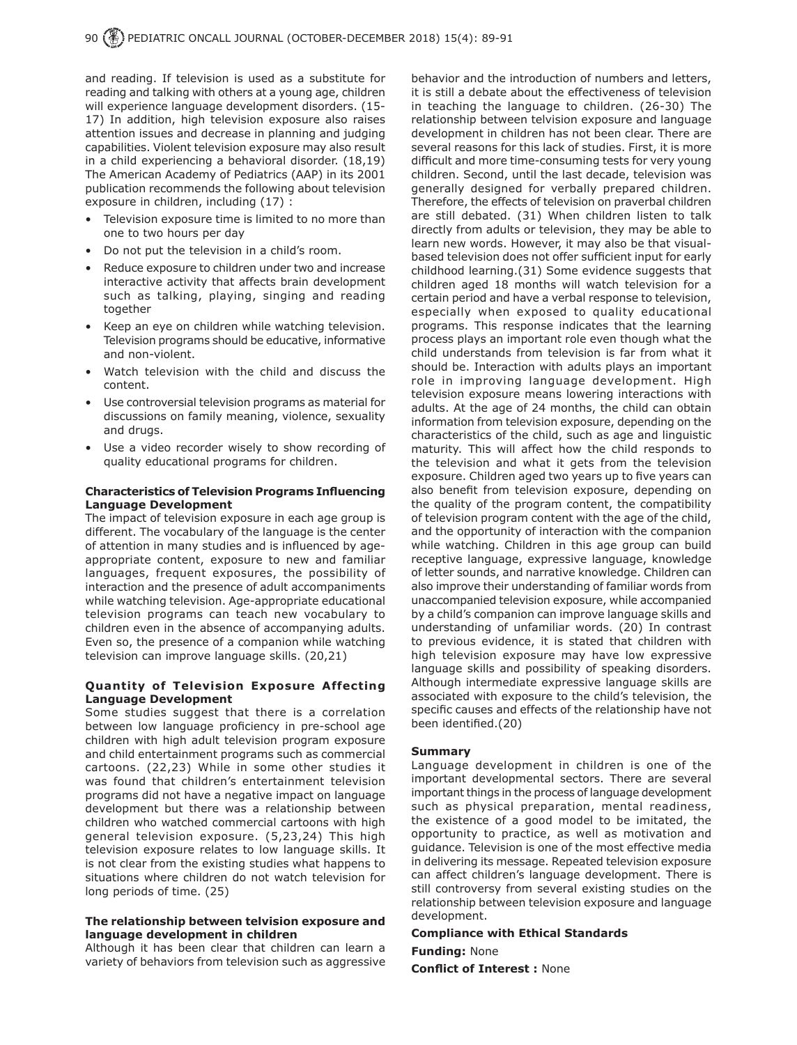and reading. If television is used as a substitute for reading and talking with others at a young age, children will experience language development disorders. (15- 17) In addition, high television exposure also raises attention issues and decrease in planning and judging capabilities. Violent television exposure may also result in a child experiencing a behavioral disorder. (18,19) The American Academy of Pediatrics (AAP) in its 2001 publication recommends the following about television exposure in children, including (17) :

- Television exposure time is limited to no more than one to two hours per day
- Do not put the television in a child's room.
- Reduce exposure to children under two and increase interactive activity that affects brain development such as talking, playing, singing and reading together
- Keep an eye on children while watching television. Television programs should be educative, informative and non-violent.
- Watch television with the child and discuss the content.
- Use controversial television programs as material for discussions on family meaning, violence, sexuality and drugs.
- Use a video recorder wisely to show recording of quality educational programs for children.

#### **Characteristics of Television Programs Influencing Language Development**

The impact of television exposure in each age group is different. The vocabulary of the language is the center of attention in many studies and is influenced by ageappropriate content, exposure to new and familiar languages, frequent exposures, the possibility of interaction and the presence of adult accompaniments while watching television. Age-appropriate educational television programs can teach new vocabulary to children even in the absence of accompanying adults. Even so, the presence of a companion while watching television can improve language skills. (20,21)

#### **Quantity of Television Exposure Affecting Language Development**

Some studies suggest that there is a correlation between low language proficiency in pre-school age children with high adult television program exposure and child entertainment programs such as commercial cartoons. (22,23) While in some other studies it was found that children's entertainment television programs did not have a negative impact on language development but there was a relationship between children who watched commercial cartoons with high general television exposure. (5,23,24) This high television exposure relates to low language skills. It is not clear from the existing studies what happens to situations where children do not watch television for long periods of time. (25)

#### **The relationship between telvision exposure and language development in children**

Although it has been clear that children can learn a variety of behaviors from television such as aggressive behavior and the introduction of numbers and letters, it is still a debate about the effectiveness of television in teaching the language to children. (26-30) The relationship between telvision exposure and language development in children has not been clear. There are several reasons for this lack of studies. First, it is more difficult and more time-consuming tests for very young children. Second, until the last decade, television was generally designed for verbally prepared children. Therefore, the effects of television on praverbal children are still debated. (31) When children listen to talk directly from adults or television, they may be able to learn new words. However, it may also be that visualbased television does not offer sufficient input for early childhood learning.(31) Some evidence suggests that children aged 18 months will watch television for a certain period and have a verbal response to television, especially when exposed to quality educational programs. This response indicates that the learning process plays an important role even though what the child understands from television is far from what it should be. Interaction with adults plays an important role in improving language development. High television exposure means lowering interactions with adults. At the age of 24 months, the child can obtain information from television exposure, depending on the characteristics of the child, such as age and linguistic maturity. This will affect how the child responds to the television and what it gets from the television exposure. Children aged two years up to five years can also benefit from television exposure, depending on the quality of the program content, the compatibility of television program content with the age of the child, and the opportunity of interaction with the companion while watching. Children in this age group can build receptive language, expressive language, knowledge of letter sounds, and narrative knowledge. Children can also improve their understanding of familiar words from unaccompanied television exposure, while accompanied by a child's companion can improve language skills and understanding of unfamiliar words. (20) In contrast to previous evidence, it is stated that children with high television exposure may have low expressive language skills and possibility of speaking disorders. Although intermediate expressive language skills are associated with exposure to the child's television, the specific causes and effects of the relationship have not been identified.(20)

#### **Summary**

Language development in children is one of the important developmental sectors. There are several important things in the process of language development such as physical preparation, mental readiness, the existence of a good model to be imitated, the opportunity to practice, as well as motivation and guidance. Television is one of the most effective media in delivering its message. Repeated television exposure can affect children's language development. There is still controversy from several existing studies on the relationship between television exposure and language development.

# **Compliance with Ethical Standards**

**Funding:** None

**Conflict of Interest :** None